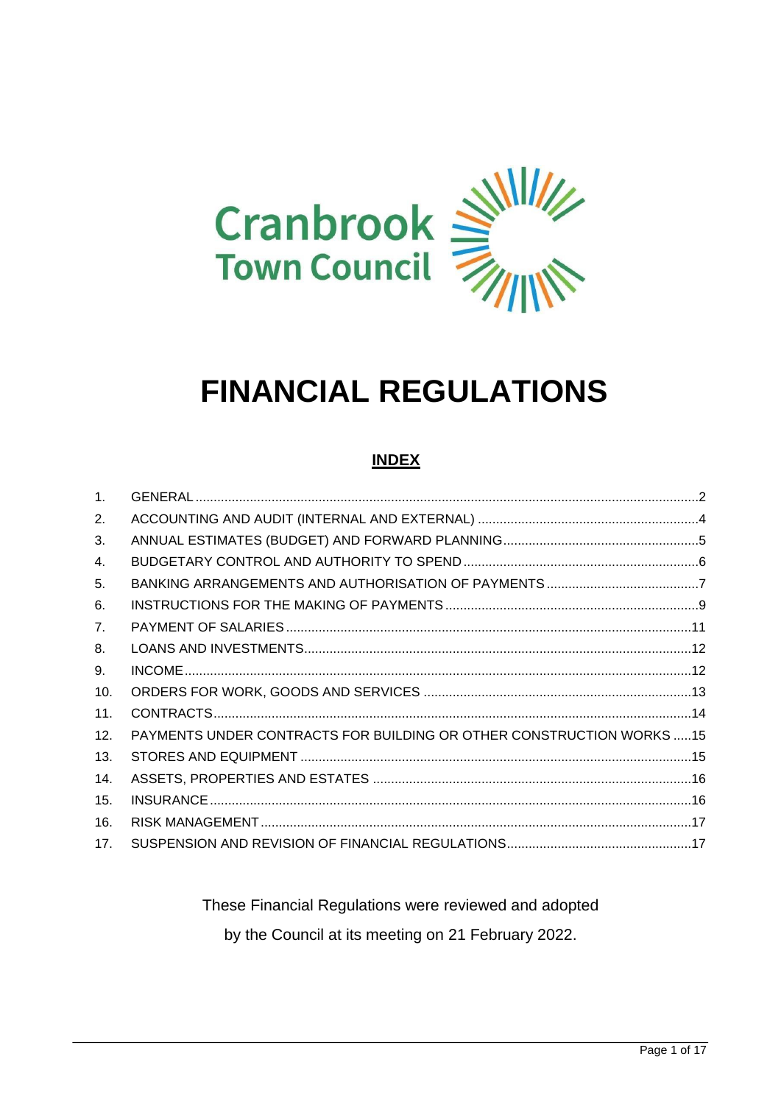

# **FINANCIAL REGULATIONS**

## **INDEX**

| PAYMENTS UNDER CONTRACTS FOR BUILDING OR OTHER CONSTRUCTION WORKS15 |  |
|---------------------------------------------------------------------|--|
|                                                                     |  |
|                                                                     |  |
|                                                                     |  |
|                                                                     |  |
|                                                                     |  |
|                                                                     |  |

These Financial Regulations were reviewed and adopted by the Council at its meeting on 21 February 2022.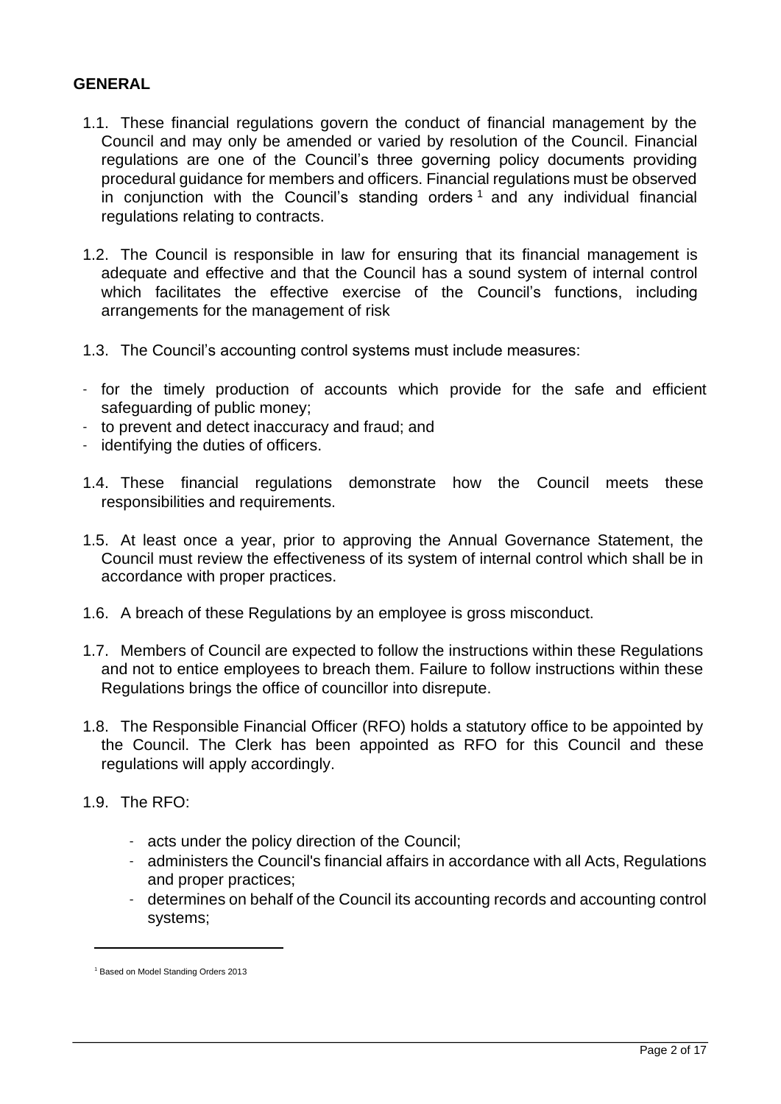#### <span id="page-1-0"></span>**GENERAL**

- 1.1. These financial regulations govern the conduct of financial management by the Council and may only be amended or varied by resolution of the Council. Financial regulations are one of the Council's three governing policy documents providing procedural guidance for members and officers. Financial regulations must be observed in conjunction with the Council's standing orders  $<sup>1</sup>$  and any individual financial</sup> regulations relating to contracts.
- 1.2. The Council is responsible in law for ensuring that its financial management is adequate and effective and that the Council has a sound system of internal control which facilitates the effective exercise of the Council's functions, including arrangements for the management of risk
- 1.3. The Council's accounting control systems must include measures:
- for the timely production of accounts which provide for the safe and efficient safeguarding of public money;
- to prevent and detect inaccuracy and fraud; and
- identifying the duties of officers.
- 1.4. These financial regulations demonstrate how the Council meets these responsibilities and requirements.
- 1.5. At least once a year, prior to approving the Annual Governance Statement, the Council must review the effectiveness of its system of internal control which shall be in accordance with proper practices.
- 1.6. A breach of these Regulations by an employee is gross misconduct.
- 1.7. Members of Council are expected to follow the instructions within these Regulations and not to entice employees to breach them. Failure to follow instructions within these Regulations brings the office of councillor into disrepute.
- 1.8. The Responsible Financial Officer (RFO) holds a statutory office to be appointed by the Council. The Clerk has been appointed as RFO for this Council and these regulations will apply accordingly.
- 1.9. The RFO:
	- acts under the policy direction of the Council;
	- administers the Council's financial affairs in accordance with all Acts, Regulations and proper practices;
	- determines on behalf of the Council its accounting records and accounting control systems;

<sup>1</sup> Based on Model Standing Orders 2013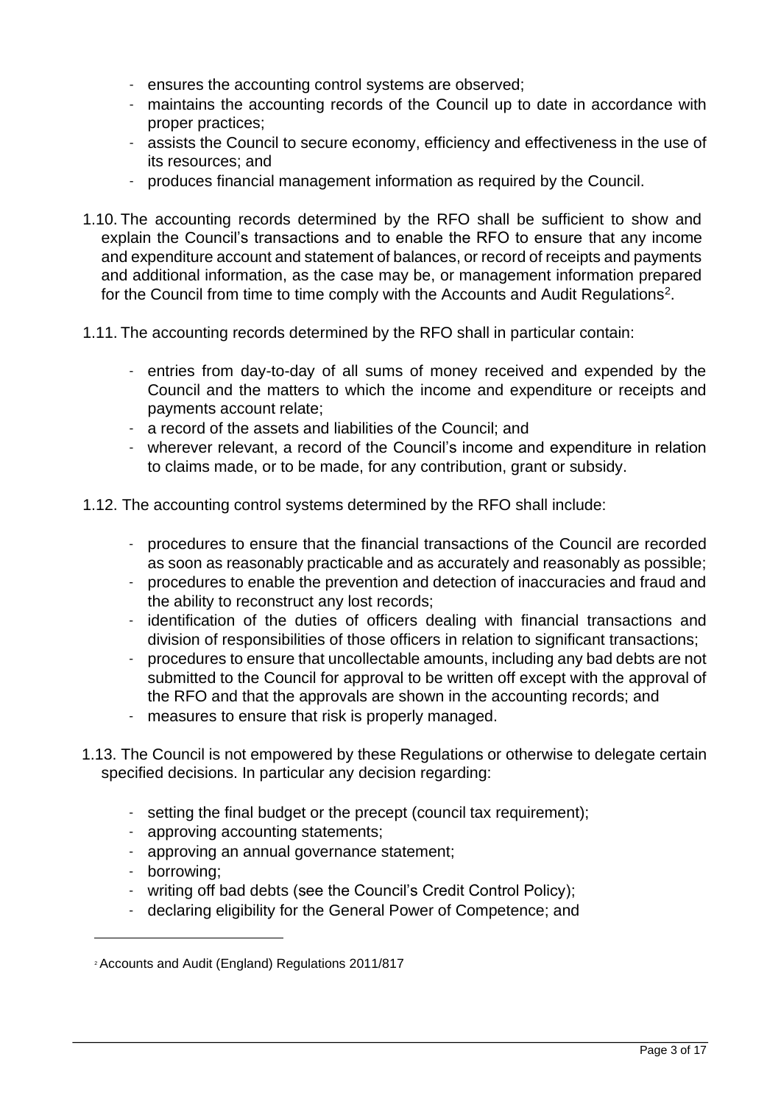- ensures the accounting control systems are observed;
- maintains the accounting records of the Council up to date in accordance with proper practices;
- assists the Council to secure economy, efficiency and effectiveness in the use of its resources; and
- produces financial management information as required by the Council.
- 1.10. The accounting records determined by the RFO shall be sufficient to show and explain the Council's transactions and to enable the RFO to ensure that any income and expenditure account and statement of balances, or record of receipts and payments and additional information, as the case may be, or management information prepared for the Council from time to time comply with the Accounts and Audit Regulations<sup>2</sup>.
- 1.11. The accounting records determined by the RFO shall in particular contain:
	- entries from day-to-day of all sums of money received and expended by the Council and the matters to which the income and expenditure or receipts and payments account relate;
	- a record of the assets and liabilities of the Council; and
	- wherever relevant, a record of the Council's income and expenditure in relation to claims made, or to be made, for any contribution, grant or subsidy.
- 1.12. The accounting control systems determined by the RFO shall include:
	- procedures to ensure that the financial transactions of the Council are recorded as soon as reasonably practicable and as accurately and reasonably as possible;
	- procedures to enable the prevention and detection of inaccuracies and fraud and the ability to reconstruct any lost records;
	- identification of the duties of officers dealing with financial transactions and division of responsibilities of those officers in relation to significant transactions;
	- procedures to ensure that uncollectable amounts, including any bad debts are not submitted to the Council for approval to be written off except with the approval of the RFO and that the approvals are shown in the accounting records; and
	- measures to ensure that risk is properly managed.
- 1.13. The Council is not empowered by these Regulations or otherwise to delegate certain specified decisions. In particular any decision regarding:
	- setting the final budget or the precept (council tax requirement);
	- approving accounting statements;
	- approving an annual governance statement;
	- borrowing;
	- writing off bad debts (see the Council's Credit Control Policy);
	- declaring eligibility for the General Power of Competence; and

<sup>2</sup> Accounts and Audit (England) Regulations 2011/817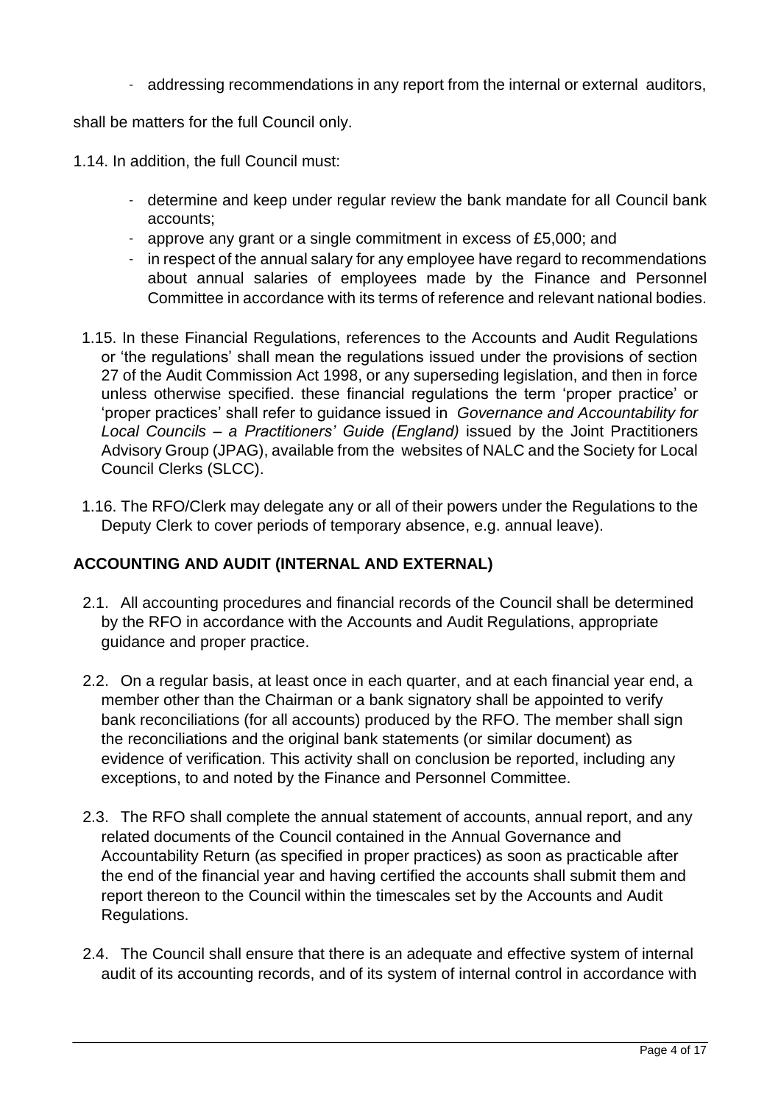- addressing recommendations in any report from the internal or external auditors,

shall be matters for the full Council only.

- 1.14. In addition, the full Council must:
	- determine and keep under regular review the bank mandate for all Council bank accounts;
	- approve any grant or a single commitment in excess of £5,000; and
	- in respect of the annual salary for any employee have regard to recommendations about annual salaries of employees made by the Finance and Personnel Committee in accordance with its terms of reference and relevant national bodies.
- 1.15. In these Financial Regulations, references to the Accounts and Audit Regulations or 'the regulations' shall mean the regulations issued under the provisions of section 27 of the Audit Commission Act 1998, or any superseding legislation, and then in force unless otherwise specified. these financial regulations the term 'proper practice' or 'proper practices' shall refer to guidance issued in *Governance and Accountability for Local Councils – a Practitioners' Guide (England)* issued by the Joint Practitioners Advisory Group (JPAG), available from the websites of NALC and the Society for Local Council Clerks (SLCC).
- 1.16. The RFO/Clerk may delegate any or all of their powers under the Regulations to the Deputy Clerk to cover periods of temporary absence, e.g. annual leave).

# <span id="page-3-0"></span>**ACCOUNTING AND AUDIT (INTERNAL AND EXTERNAL)**

- 2.1. All accounting procedures and financial records of the Council shall be determined by the RFO in accordance with the Accounts and Audit Regulations, appropriate guidance and proper practice.
- 2.2. On a regular basis, at least once in each quarter, and at each financial year end, a member other than the Chairman or a bank signatory shall be appointed to verify bank reconciliations (for all accounts) produced by the RFO. The member shall sign the reconciliations and the original bank statements (or similar document) as evidence of verification. This activity shall on conclusion be reported, including any exceptions, to and noted by the Finance and Personnel Committee.
- 2.3. The RFO shall complete the annual statement of accounts, annual report, and any related documents of the Council contained in the Annual Governance and Accountability Return (as specified in proper practices) as soon as practicable after the end of the financial year and having certified the accounts shall submit them and report thereon to the Council within the timescales set by the Accounts and Audit Regulations.
- 2.4. The Council shall ensure that there is an adequate and effective system of internal audit of its accounting records, and of its system of internal control in accordance with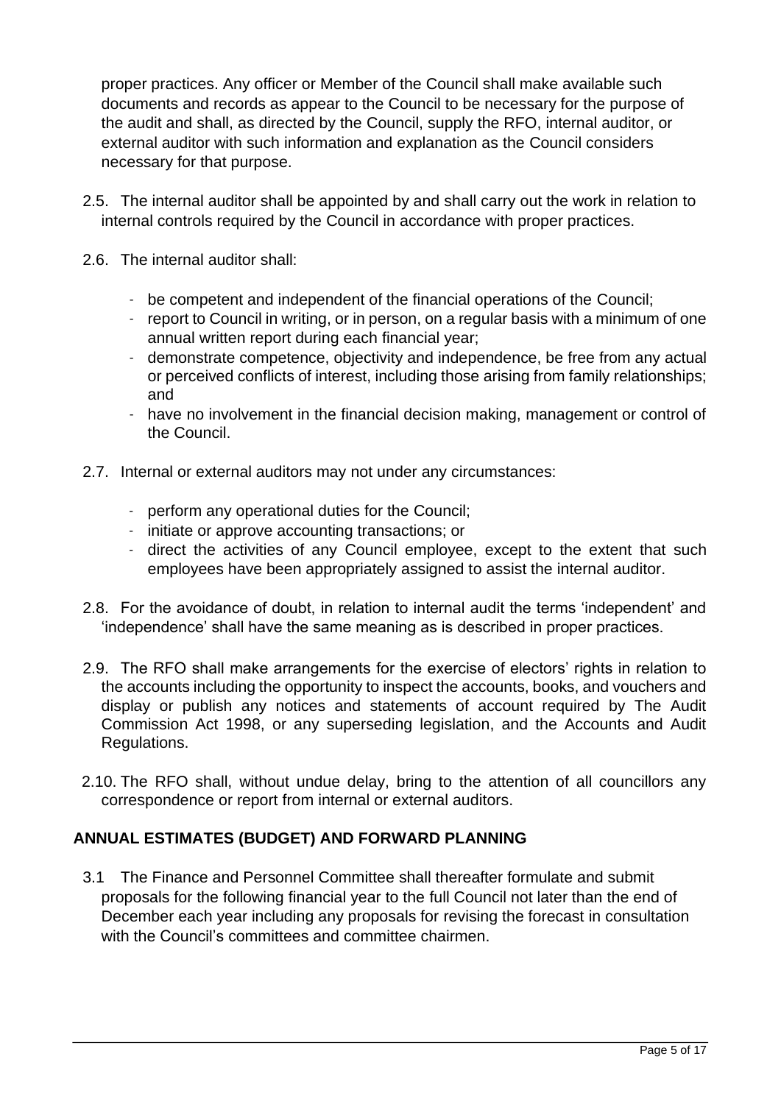proper practices. Any officer or Member of the Council shall make available such documents and records as appear to the Council to be necessary for the purpose of the audit and shall, as directed by the Council, supply the RFO, internal auditor, or external auditor with such information and explanation as the Council considers necessary for that purpose.

- 2.5. The internal auditor shall be appointed by and shall carry out the work in relation to internal controls required by the Council in accordance with proper practices.
- 2.6. The internal auditor shall:
	- be competent and independent of the financial operations of the Council;
	- report to Council in writing, or in person, on a regular basis with a minimum of one annual written report during each financial year;
	- demonstrate competence, objectivity and independence, be free from any actual or perceived conflicts of interest, including those arising from family relationships; and
	- have no involvement in the financial decision making, management or control of the Council.
- 2.7. Internal or external auditors may not under any circumstances:
	- perform any operational duties for the Council;
	- initiate or approve accounting transactions; or
	- direct the activities of any Council employee, except to the extent that such employees have been appropriately assigned to assist the internal auditor.
- 2.8. For the avoidance of doubt, in relation to internal audit the terms 'independent' and 'independence' shall have the same meaning as is described in proper practices.
- 2.9. The RFO shall make arrangements for the exercise of electors' rights in relation to the accounts including the opportunity to inspect the accounts, books, and vouchers and display or publish any notices and statements of account required by The Audit Commission Act 1998, or any superseding legislation, and the Accounts and Audit Regulations.
- 2.10. The RFO shall, without undue delay, bring to the attention of all councillors any correspondence or report from internal or external auditors.

#### <span id="page-4-0"></span>**ANNUAL ESTIMATES (BUDGET) AND FORWARD PLANNING**

3.1 The Finance and Personnel Committee shall thereafter formulate and submit proposals for the following financial year to the full Council not later than the end of December each year including any proposals for revising the forecast in consultation with the Council's committees and committee chairmen.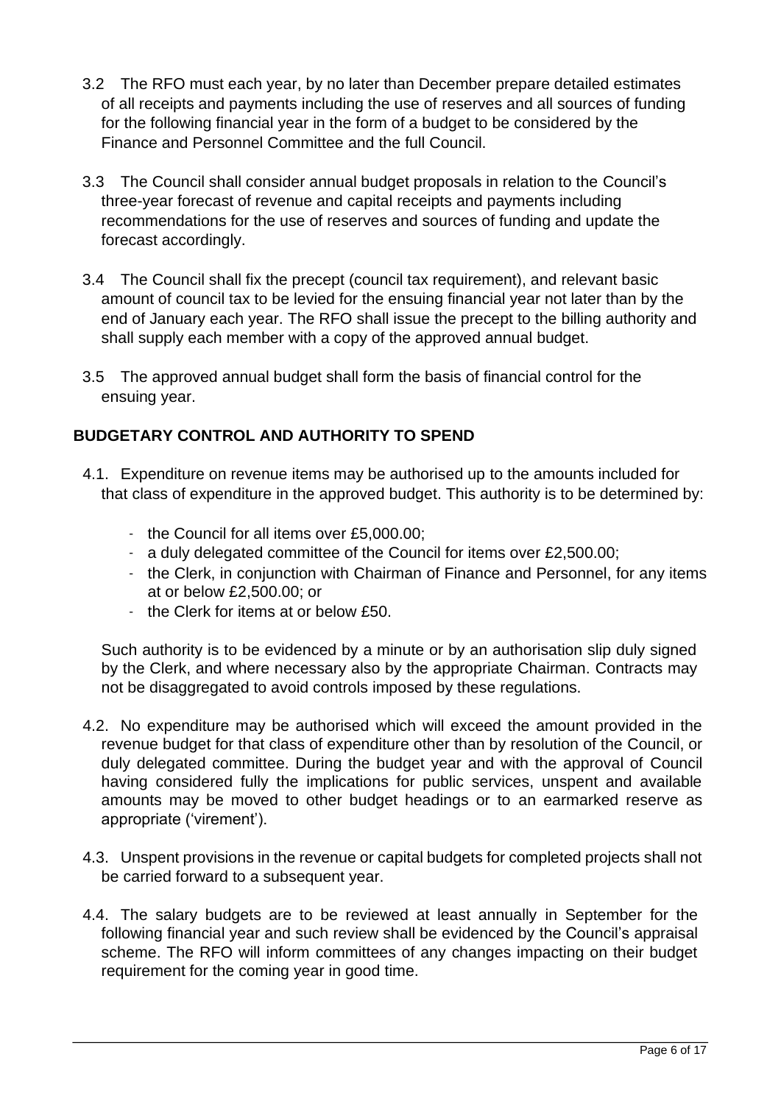- 3.2 The RFO must each year, by no later than December prepare detailed estimates of all receipts and payments including the use of reserves and all sources of funding for the following financial year in the form of a budget to be considered by the Finance and Personnel Committee and the full Council.
- 3.3 The Council shall consider annual budget proposals in relation to the Council's three-year forecast of revenue and capital receipts and payments including recommendations for the use of reserves and sources of funding and update the forecast accordingly.
- 3.4 The Council shall fix the precept (council tax requirement), and relevant basic amount of council tax to be levied for the ensuing financial year not later than by the end of January each year. The RFO shall issue the precept to the billing authority and shall supply each member with a copy of the approved annual budget.
- 3.5 The approved annual budget shall form the basis of financial control for the ensuing year.

# <span id="page-5-0"></span>**BUDGETARY CONTROL AND AUTHORITY TO SPEND**

- 4.1. Expenditure on revenue items may be authorised up to the amounts included for that class of expenditure in the approved budget. This authority is to be determined by:
	- the Council for all items over £5,000.00;
	- a duly delegated committee of the Council for items over £2,500.00;
	- the Clerk, in conjunction with Chairman of Finance and Personnel, for any items at or below £2,500.00; or
	- the Clerk for items at or below £50.

Such authority is to be evidenced by a minute or by an authorisation slip duly signed by the Clerk, and where necessary also by the appropriate Chairman. Contracts may not be disaggregated to avoid controls imposed by these regulations.

- 4.2. No expenditure may be authorised which will exceed the amount provided in the revenue budget for that class of expenditure other than by resolution of the Council, or duly delegated committee. During the budget year and with the approval of Council having considered fully the implications for public services, unspent and available amounts may be moved to other budget headings or to an earmarked reserve as appropriate ('virement').
- 4.3. Unspent provisions in the revenue or capital budgets for completed projects shall not be carried forward to a subsequent year.
- 4.4. The salary budgets are to be reviewed at least annually in September for the following financial year and such review shall be evidenced by the Council's appraisal scheme. The RFO will inform committees of any changes impacting on their budget requirement for the coming year in good time.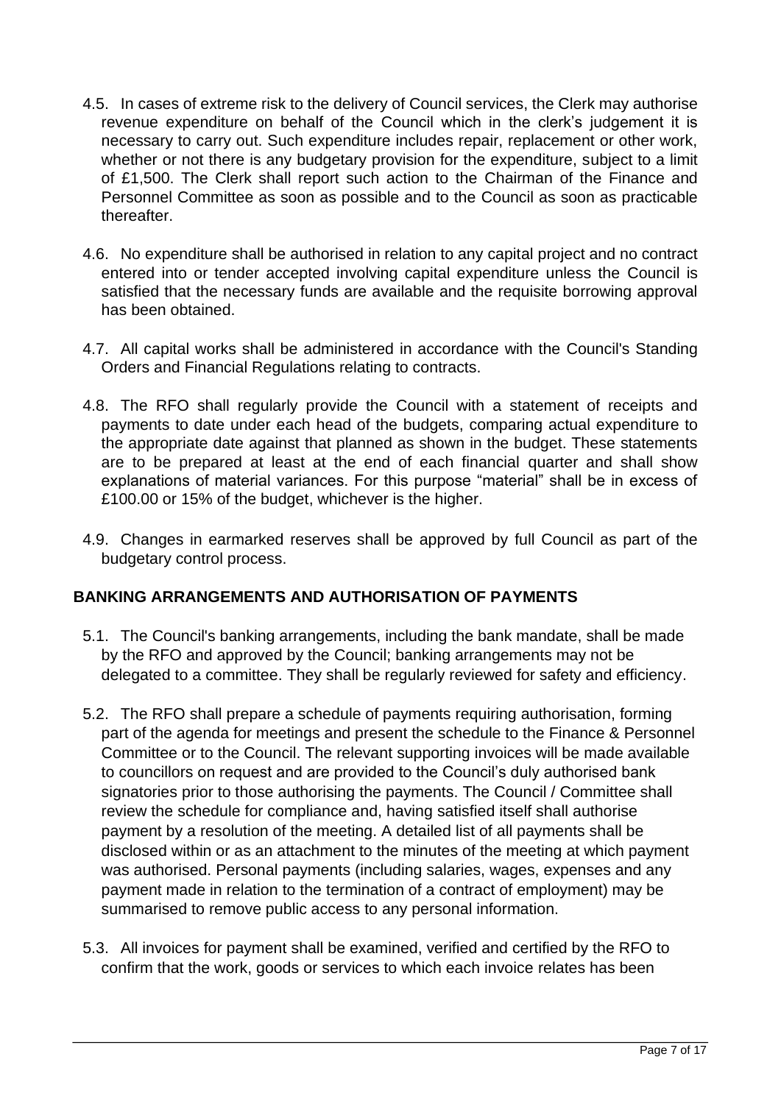- 4.5. In cases of extreme risk to the delivery of Council services, the Clerk may authorise revenue expenditure on behalf of the Council which in the clerk's judgement it is necessary to carry out. Such expenditure includes repair, replacement or other work, whether or not there is any budgetary provision for the expenditure, subject to a limit of £1,500. The Clerk shall report such action to the Chairman of the Finance and Personnel Committee as soon as possible and to the Council as soon as practicable thereafter.
- 4.6. No expenditure shall be authorised in relation to any capital project and no contract entered into or tender accepted involving capital expenditure unless the Council is satisfied that the necessary funds are available and the requisite borrowing approval has been obtained.
- 4.7. All capital works shall be administered in accordance with the Council's Standing Orders and Financial Regulations relating to contracts.
- 4.8. The RFO shall regularly provide the Council with a statement of receipts and payments to date under each head of the budgets, comparing actual expenditure to the appropriate date against that planned as shown in the budget. These statements are to be prepared at least at the end of each financial quarter and shall show explanations of material variances. For this purpose "material" shall be in excess of £100.00 or 15% of the budget, whichever is the higher.
- 4.9. Changes in earmarked reserves shall be approved by full Council as part of the budgetary control process.

## <span id="page-6-0"></span>**BANKING ARRANGEMENTS AND AUTHORISATION OF PAYMENTS**

- 5.1. The Council's banking arrangements, including the bank mandate, shall be made by the RFO and approved by the Council; banking arrangements may not be delegated to a committee. They shall be regularly reviewed for safety and efficiency.
- 5.2. The RFO shall prepare a schedule of payments requiring authorisation, forming part of the agenda for meetings and present the schedule to the Finance & Personnel Committee or to the Council. The relevant supporting invoices will be made available to councillors on request and are provided to the Council's duly authorised bank signatories prior to those authorising the payments. The Council / Committee shall review the schedule for compliance and, having satisfied itself shall authorise payment by a resolution of the meeting. A detailed list of all payments shall be disclosed within or as an attachment to the minutes of the meeting at which payment was authorised. Personal payments (including salaries, wages, expenses and any payment made in relation to the termination of a contract of employment) may be summarised to remove public access to any personal information.
- 5.3. All invoices for payment shall be examined, verified and certified by the RFO to confirm that the work, goods or services to which each invoice relates has been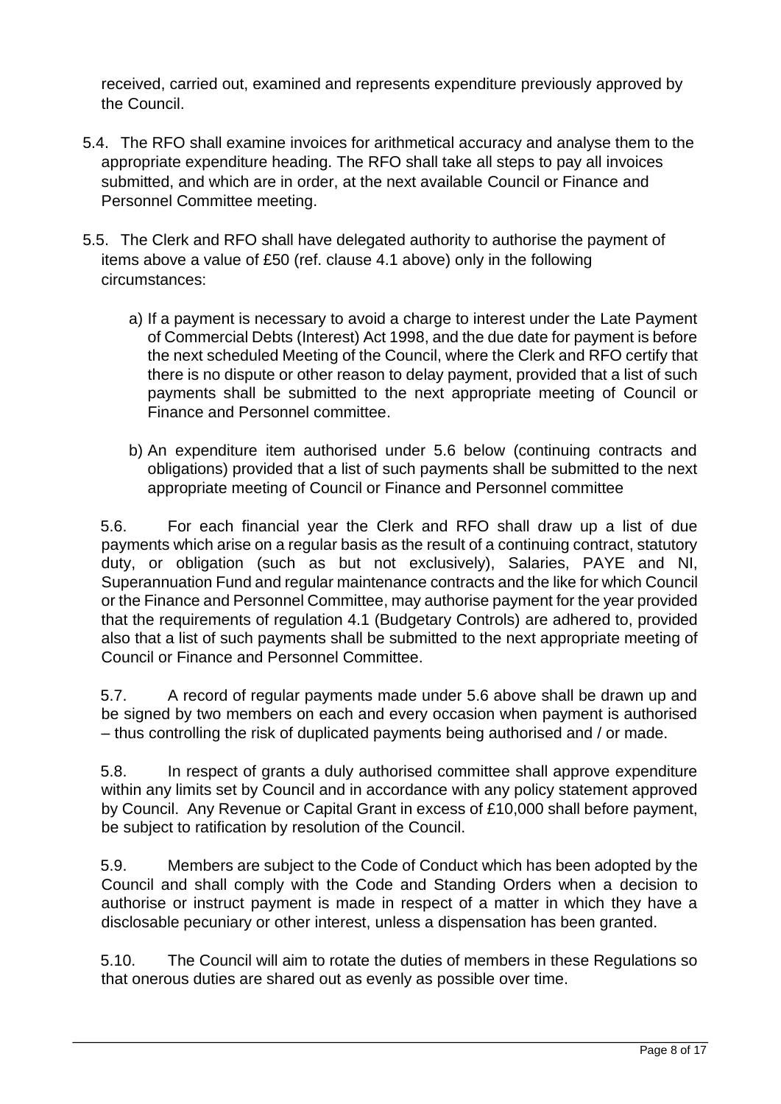received, carried out, examined and represents expenditure previously approved by the Council.

- 5.4. The RFO shall examine invoices for arithmetical accuracy and analyse them to the appropriate expenditure heading. The RFO shall take all steps to pay all invoices submitted, and which are in order, at the next available Council or Finance and Personnel Committee meeting.
- 5.5. The Clerk and RFO shall have delegated authority to authorise the payment of items above a value of £50 (ref. clause 4.1 above) only in the following circumstances:
	- a) If a payment is necessary to avoid a charge to interest under the Late Payment of Commercial Debts (Interest) Act 1998, and the due date for payment is before the next scheduled Meeting of the Council, where the Clerk and RFO certify that there is no dispute or other reason to delay payment, provided that a list of such payments shall be submitted to the next appropriate meeting of Council or Finance and Personnel committee.
	- b) An expenditure item authorised under 5.6 below (continuing contracts and obligations) provided that a list of such payments shall be submitted to the next appropriate meeting of Council or Finance and Personnel committee

5.6. For each financial year the Clerk and RFO shall draw up a list of due payments which arise on a regular basis as the result of a continuing contract, statutory duty, or obligation (such as but not exclusively), Salaries, PAYE and NI, Superannuation Fund and regular maintenance contracts and the like for which Council or the Finance and Personnel Committee, may authorise payment for the year provided that the requirements of regulation 4.1 (Budgetary Controls) are adhered to, provided also that a list of such payments shall be submitted to the next appropriate meeting of Council or Finance and Personnel Committee.

5.7. A record of regular payments made under 5.6 above shall be drawn up and be signed by two members on each and every occasion when payment is authorised – thus controlling the risk of duplicated payments being authorised and / or made.

5.8. In respect of grants a duly authorised committee shall approve expenditure within any limits set by Council and in accordance with any policy statement approved by Council. Any Revenue or Capital Grant in excess of £10,000 shall before payment, be subject to ratification by resolution of the Council.

5.9. Members are subject to the Code of Conduct which has been adopted by the Council and shall comply with the Code and Standing Orders when a decision to authorise or instruct payment is made in respect of a matter in which they have a disclosable pecuniary or other interest, unless a dispensation has been granted.

5.10. The Council will aim to rotate the duties of members in these Regulations so that onerous duties are shared out as evenly as possible over time.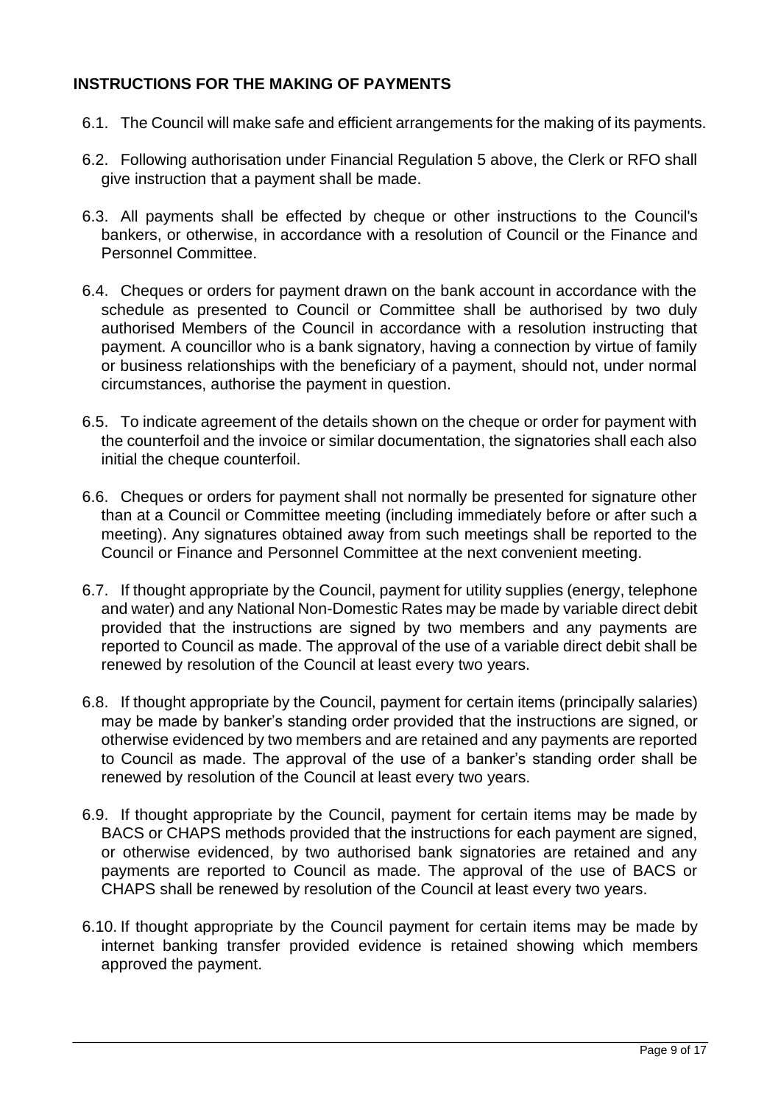## <span id="page-8-0"></span>**INSTRUCTIONS FOR THE MAKING OF PAYMENTS**

- 6.1. The Council will make safe and efficient arrangements for the making of its payments.
- 6.2. Following authorisation under Financial Regulation 5 above, the Clerk or RFO shall give instruction that a payment shall be made.
- 6.3. All payments shall be effected by cheque or other instructions to the Council's bankers, or otherwise, in accordance with a resolution of Council or the Finance and Personnel Committee.
- 6.4. Cheques or orders for payment drawn on the bank account in accordance with the schedule as presented to Council or Committee shall be authorised by two duly authorised Members of the Council in accordance with a resolution instructing that payment. A councillor who is a bank signatory, having a connection by virtue of family or business relationships with the beneficiary of a payment, should not, under normal circumstances, authorise the payment in question.
- 6.5. To indicate agreement of the details shown on the cheque or order for payment with the counterfoil and the invoice or similar documentation, the signatories shall each also initial the cheque counterfoil.
- 6.6. Cheques or orders for payment shall not normally be presented for signature other than at a Council or Committee meeting (including immediately before or after such a meeting). Any signatures obtained away from such meetings shall be reported to the Council or Finance and Personnel Committee at the next convenient meeting.
- 6.7. If thought appropriate by the Council, payment for utility supplies (energy, telephone and water) and any National Non-Domestic Rates may be made by variable direct debit provided that the instructions are signed by two members and any payments are reported to Council as made. The approval of the use of a variable direct debit shall be renewed by resolution of the Council at least every two years.
- 6.8. If thought appropriate by the Council, payment for certain items (principally salaries) may be made by banker's standing order provided that the instructions are signed, or otherwise evidenced by two members and are retained and any payments are reported to Council as made. The approval of the use of a banker's standing order shall be renewed by resolution of the Council at least every two years.
- 6.9. If thought appropriate by the Council, payment for certain items may be made by BACS or CHAPS methods provided that the instructions for each payment are signed, or otherwise evidenced, by two authorised bank signatories are retained and any payments are reported to Council as made. The approval of the use of BACS or CHAPS shall be renewed by resolution of the Council at least every two years.
- 6.10. If thought appropriate by the Council payment for certain items may be made by internet banking transfer provided evidence is retained showing which members approved the payment.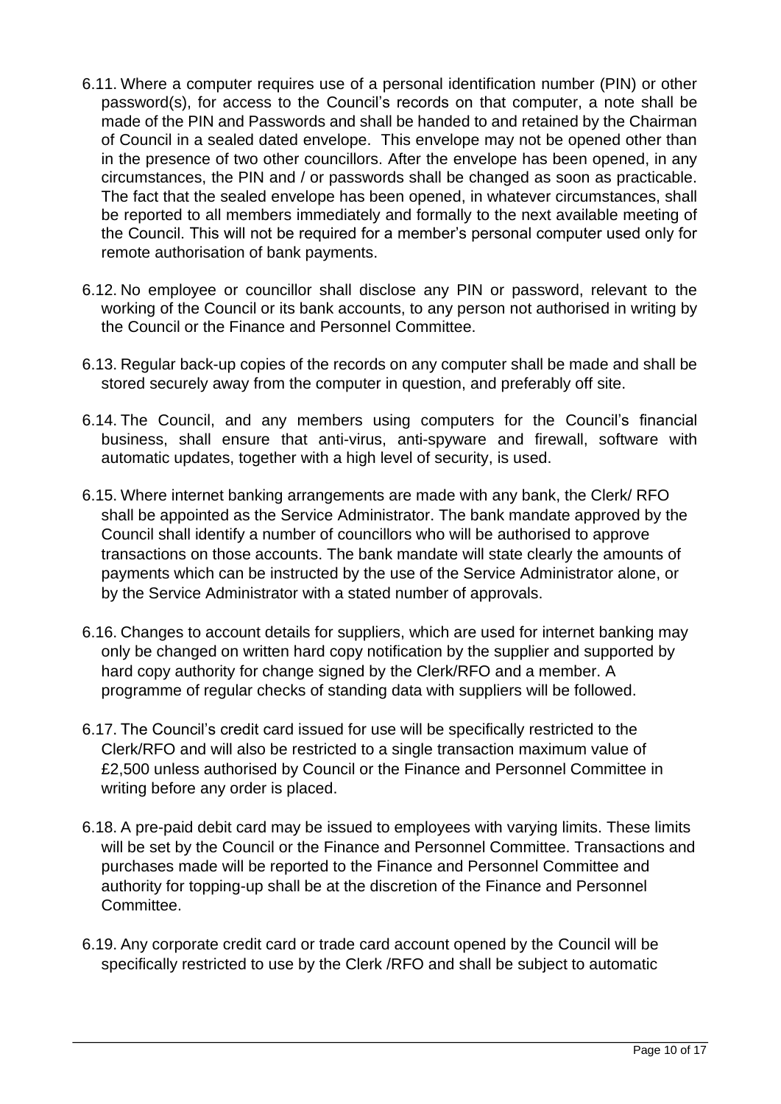- 6.11. Where a computer requires use of a personal identification number (PIN) or other password(s), for access to the Council's records on that computer, a note shall be made of the PIN and Passwords and shall be handed to and retained by the Chairman of Council in a sealed dated envelope. This envelope may not be opened other than in the presence of two other councillors. After the envelope has been opened, in any circumstances, the PIN and / or passwords shall be changed as soon as practicable. The fact that the sealed envelope has been opened, in whatever circumstances, shall be reported to all members immediately and formally to the next available meeting of the Council. This will not be required for a member's personal computer used only for remote authorisation of bank payments.
- 6.12. No employee or councillor shall disclose any PIN or password, relevant to the working of the Council or its bank accounts, to any person not authorised in writing by the Council or the Finance and Personnel Committee.
- 6.13. Regular back-up copies of the records on any computer shall be made and shall be stored securely away from the computer in question, and preferably off site.
- 6.14. The Council, and any members using computers for the Council's financial business, shall ensure that anti-virus, anti-spyware and firewall, software with automatic updates, together with a high level of security, is used.
- 6.15. Where internet banking arrangements are made with any bank, the Clerk/ RFO shall be appointed as the Service Administrator. The bank mandate approved by the Council shall identify a number of councillors who will be authorised to approve transactions on those accounts. The bank mandate will state clearly the amounts of payments which can be instructed by the use of the Service Administrator alone, or by the Service Administrator with a stated number of approvals.
- 6.16. Changes to account details for suppliers, which are used for internet banking may only be changed on written hard copy notification by the supplier and supported by hard copy authority for change signed by the Clerk/RFO and a member. A programme of regular checks of standing data with suppliers will be followed.
- 6.17. The Council's credit card issued for use will be specifically restricted to the Clerk/RFO and will also be restricted to a single transaction maximum value of £2,500 unless authorised by Council or the Finance and Personnel Committee in writing before any order is placed.
- 6.18. A pre-paid debit card may be issued to employees with varying limits. These limits will be set by the Council or the Finance and Personnel Committee. Transactions and purchases made will be reported to the Finance and Personnel Committee and authority for topping-up shall be at the discretion of the Finance and Personnel Committee.
- 6.19. Any corporate credit card or trade card account opened by the Council will be specifically restricted to use by the Clerk /RFO and shall be subject to automatic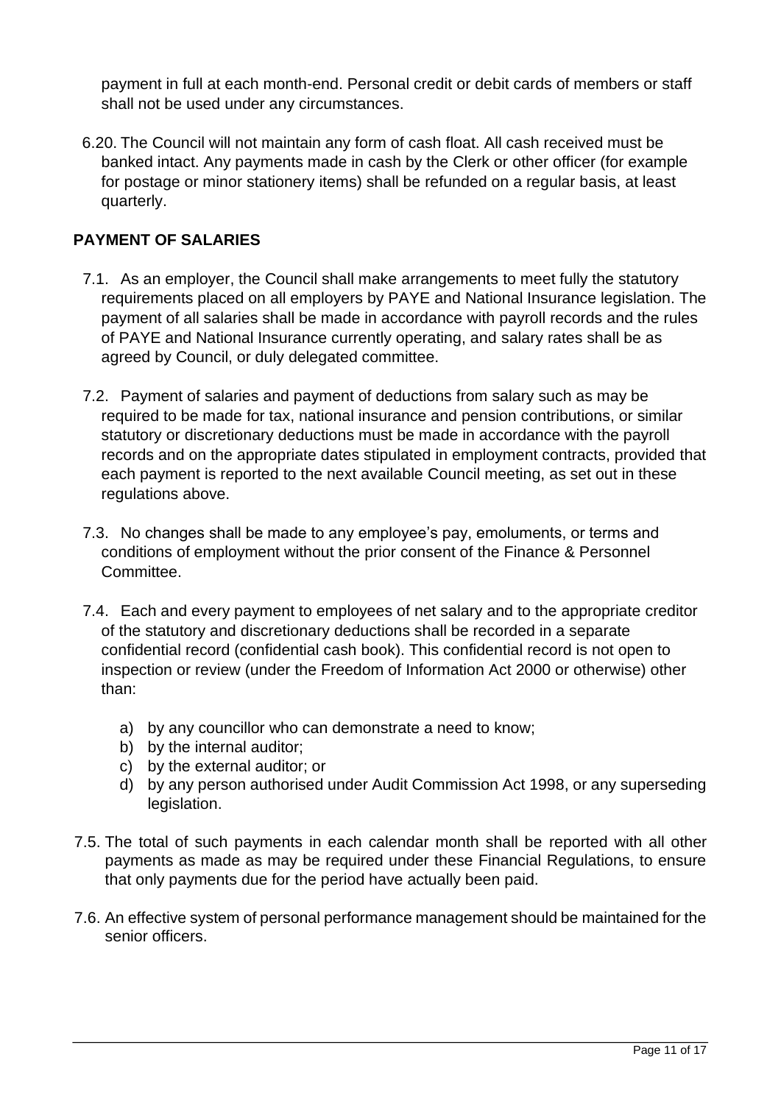payment in full at each month-end. Personal credit or debit cards of members or staff shall not be used under any circumstances.

6.20. The Council will not maintain any form of cash float. All cash received must be banked intact. Any payments made in cash by the Clerk or other officer (for example for postage or minor stationery items) shall be refunded on a regular basis, at least quarterly.

# <span id="page-10-0"></span>**PAYMENT OF SALARIES**

- 7.1. As an employer, the Council shall make arrangements to meet fully the statutory requirements placed on all employers by PAYE and National Insurance legislation. The payment of all salaries shall be made in accordance with payroll records and the rules of PAYE and National Insurance currently operating, and salary rates shall be as agreed by Council, or duly delegated committee.
- 7.2. Payment of salaries and payment of deductions from salary such as may be required to be made for tax, national insurance and pension contributions, or similar statutory or discretionary deductions must be made in accordance with the payroll records and on the appropriate dates stipulated in employment contracts, provided that each payment is reported to the next available Council meeting, as set out in these regulations above.
- 7.3. No changes shall be made to any employee's pay, emoluments, or terms and conditions of employment without the prior consent of the Finance & Personnel **Committee.**
- 7.4. Each and every payment to employees of net salary and to the appropriate creditor of the statutory and discretionary deductions shall be recorded in a separate confidential record (confidential cash book). This confidential record is not open to inspection or review (under the Freedom of Information Act 2000 or otherwise) other than:
	- a) by any councillor who can demonstrate a need to know;
	- b) by the internal auditor;
	- c) by the external auditor; or
	- d) by any person authorised under Audit Commission Act 1998, or any superseding legislation.
- 7.5. The total of such payments in each calendar month shall be reported with all other payments as made as may be required under these Financial Regulations, to ensure that only payments due for the period have actually been paid.
- 7.6. An effective system of personal performance management should be maintained for the senior officers.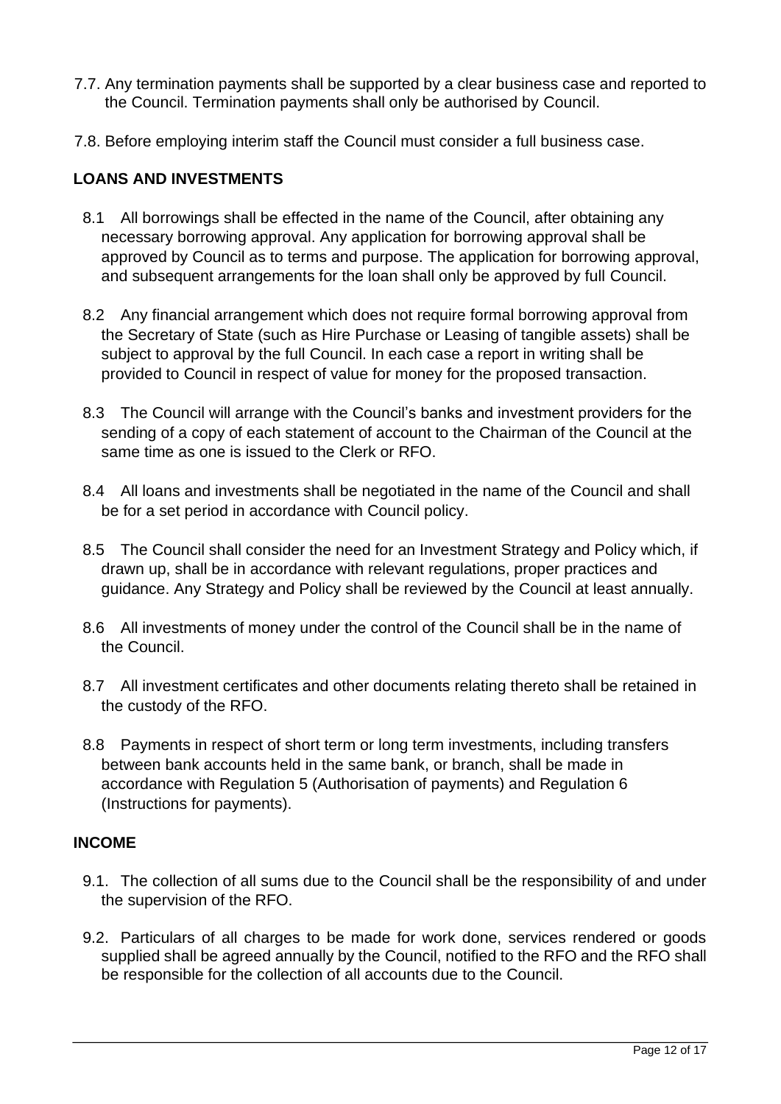- 7.7. Any termination payments shall be supported by a clear business case and reported to the Council. Termination payments shall only be authorised by Council.
- 7.8. Before employing interim staff the Council must consider a full business case.

#### <span id="page-11-0"></span>**LOANS AND INVESTMENTS**

- 8.1 All borrowings shall be effected in the name of the Council, after obtaining any necessary borrowing approval. Any application for borrowing approval shall be approved by Council as to terms and purpose. The application for borrowing approval, and subsequent arrangements for the loan shall only be approved by full Council.
- 8.2 Any financial arrangement which does not require formal borrowing approval from the Secretary of State (such as Hire Purchase or Leasing of tangible assets) shall be subject to approval by the full Council. In each case a report in writing shall be provided to Council in respect of value for money for the proposed transaction.
- 8.3 The Council will arrange with the Council's banks and investment providers for the sending of a copy of each statement of account to the Chairman of the Council at the same time as one is issued to the Clerk or RFO.
- 8.4 All loans and investments shall be negotiated in the name of the Council and shall be for a set period in accordance with Council policy.
- 8.5 The Council shall consider the need for an Investment Strategy and Policy which, if drawn up, shall be in accordance with relevant regulations, proper practices and guidance. Any Strategy and Policy shall be reviewed by the Council at least annually.
- 8.6 All investments of money under the control of the Council shall be in the name of the Council.
- 8.7 All investment certificates and other documents relating thereto shall be retained in the custody of the RFO.
- 8.8 Payments in respect of short term or long term investments, including transfers between bank accounts held in the same bank, or branch, shall be made in accordance with Regulation 5 (Authorisation of payments) and Regulation 6 (Instructions for payments).

#### <span id="page-11-1"></span>**INCOME**

- 9.1. The collection of all sums due to the Council shall be the responsibility of and under the supervision of the RFO.
- 9.2. Particulars of all charges to be made for work done, services rendered or goods supplied shall be agreed annually by the Council, notified to the RFO and the RFO shall be responsible for the collection of all accounts due to the Council.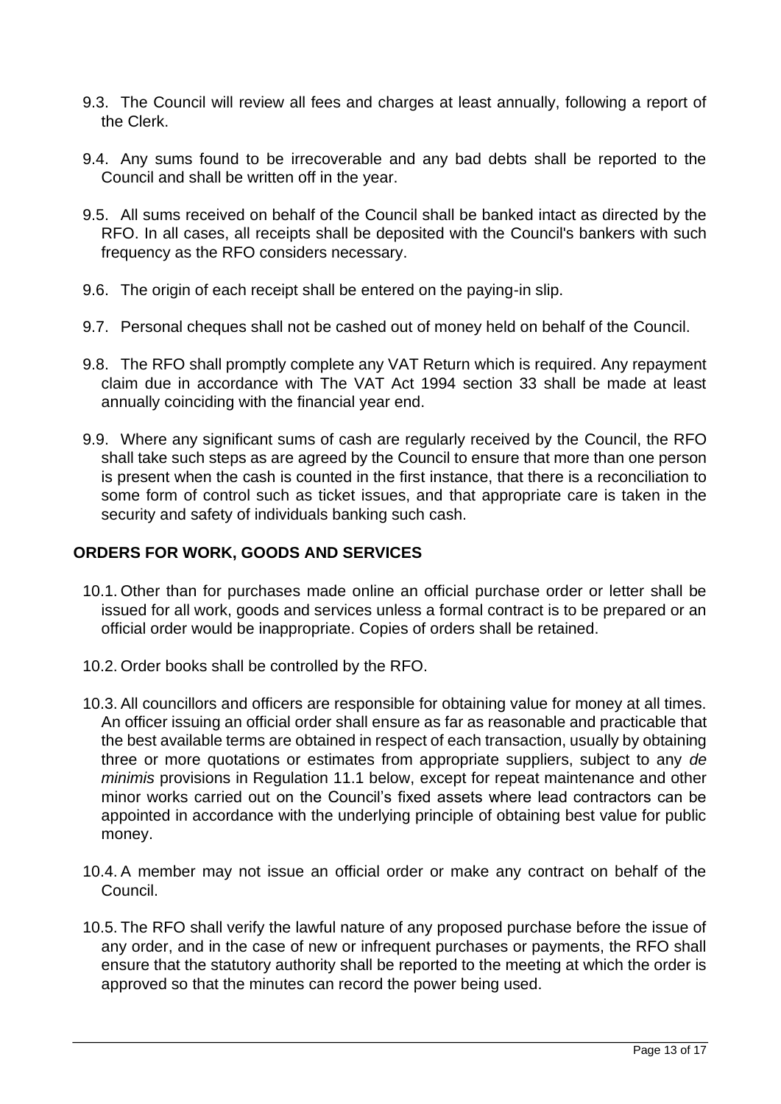- 9.3. The Council will review all fees and charges at least annually, following a report of the Clerk.
- 9.4. Any sums found to be irrecoverable and any bad debts shall be reported to the Council and shall be written off in the year.
- 9.5. All sums received on behalf of the Council shall be banked intact as directed by the RFO. In all cases, all receipts shall be deposited with the Council's bankers with such frequency as the RFO considers necessary.
- 9.6. The origin of each receipt shall be entered on the paying-in slip.
- 9.7. Personal cheques shall not be cashed out of money held on behalf of the Council.
- 9.8. The RFO shall promptly complete any VAT Return which is required. Any repayment claim due in accordance with The VAT Act 1994 section 33 shall be made at least annually coinciding with the financial year end.
- 9.9. Where any significant sums of cash are regularly received by the Council, the RFO shall take such steps as are agreed by the Council to ensure that more than one person is present when the cash is counted in the first instance, that there is a reconciliation to some form of control such as ticket issues, and that appropriate care is taken in the security and safety of individuals banking such cash.

### <span id="page-12-0"></span>**ORDERS FOR WORK, GOODS AND SERVICES**

- 10.1. Other than for purchases made online an official purchase order or letter shall be issued for all work, goods and services unless a formal contract is to be prepared or an official order would be inappropriate. Copies of orders shall be retained.
- 10.2. Order books shall be controlled by the RFO.
- 10.3. All councillors and officers are responsible for obtaining value for money at all times. An officer issuing an official order shall ensure as far as reasonable and practicable that the best available terms are obtained in respect of each transaction, usually by obtaining three or more quotations or estimates from appropriate suppliers, subject to any *de minimis* provisions in Regulation 11.1 below, except for repeat maintenance and other minor works carried out on the Council's fixed assets where lead contractors can be appointed in accordance with the underlying principle of obtaining best value for public money.
- 10.4. A member may not issue an official order or make any contract on behalf of the Council.
- 10.5. The RFO shall verify the lawful nature of any proposed purchase before the issue of any order, and in the case of new or infrequent purchases or payments, the RFO shall ensure that the statutory authority shall be reported to the meeting at which the order is approved so that the minutes can record the power being used.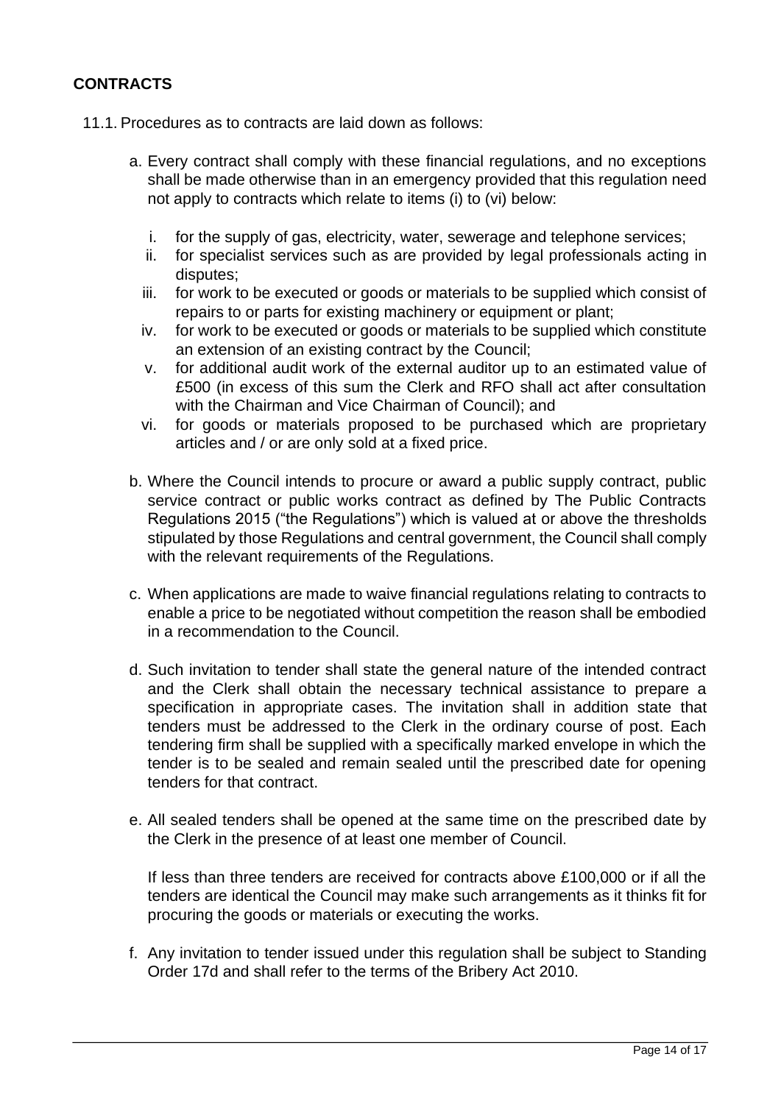## <span id="page-13-0"></span>**CONTRACTS**

- 11.1. Procedures as to contracts are laid down as follows:
	- a. Every contract shall comply with these financial regulations, and no exceptions shall be made otherwise than in an emergency provided that this regulation need not apply to contracts which relate to items (i) to (vi) below:
		- i. for the supply of gas, electricity, water, sewerage and telephone services;
		- ii. for specialist services such as are provided by legal professionals acting in disputes;
		- iii. for work to be executed or goods or materials to be supplied which consist of repairs to or parts for existing machinery or equipment or plant;
		- iv. for work to be executed or goods or materials to be supplied which constitute an extension of an existing contract by the Council;
		- v. for additional audit work of the external auditor up to an estimated value of £500 (in excess of this sum the Clerk and RFO shall act after consultation with the Chairman and Vice Chairman of Council); and
		- vi. for goods or materials proposed to be purchased which are proprietary articles and / or are only sold at a fixed price.
	- b. Where the Council intends to procure or award a public supply contract, public service contract or public works contract as defined by The Public Contracts Regulations 2015 ("the Regulations") which is valued at or above the thresholds stipulated by those Regulations and central government, the Council shall comply with the relevant requirements of the Regulations.
	- c. When applications are made to waive financial regulations relating to contracts to enable a price to be negotiated without competition the reason shall be embodied in a recommendation to the Council.
	- d. Such invitation to tender shall state the general nature of the intended contract and the Clerk shall obtain the necessary technical assistance to prepare a specification in appropriate cases. The invitation shall in addition state that tenders must be addressed to the Clerk in the ordinary course of post. Each tendering firm shall be supplied with a specifically marked envelope in which the tender is to be sealed and remain sealed until the prescribed date for opening tenders for that contract.
	- e. All sealed tenders shall be opened at the same time on the prescribed date by the Clerk in the presence of at least one member of Council.

If less than three tenders are received for contracts above £100,000 or if all the tenders are identical the Council may make such arrangements as it thinks fit for procuring the goods or materials or executing the works.

f. Any invitation to tender issued under this regulation shall be subject to Standing Order 17d and shall refer to the terms of the Bribery Act 2010.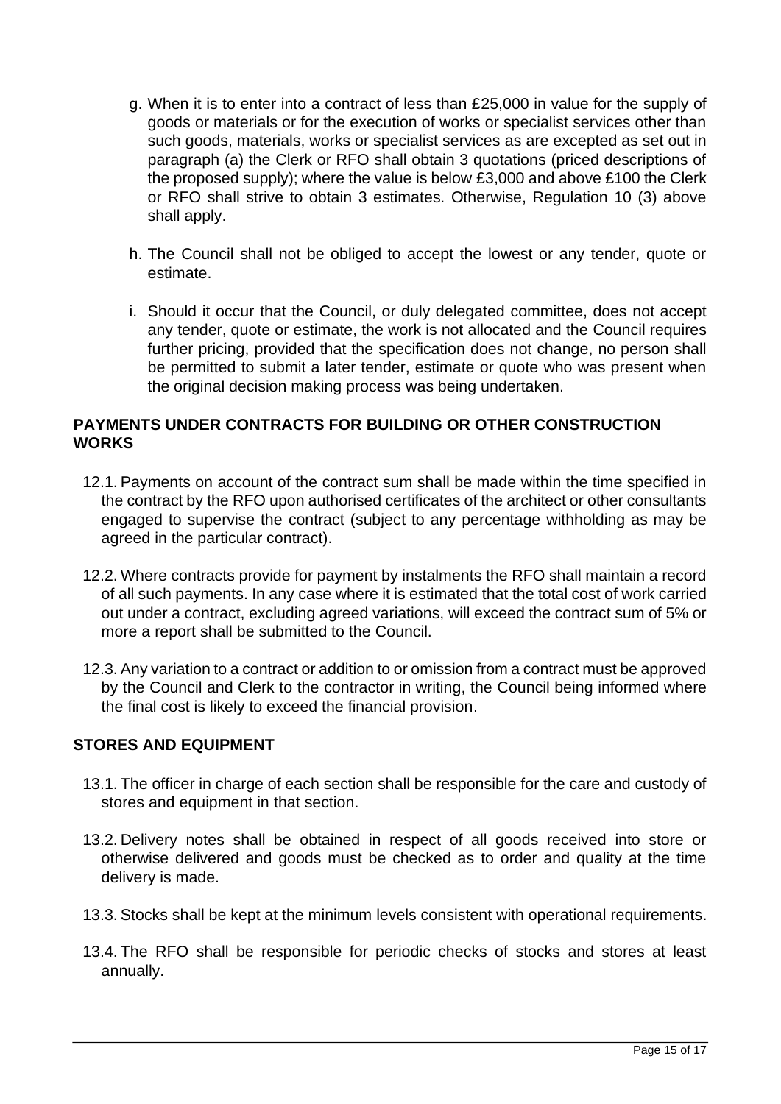- g. When it is to enter into a contract of less than £25,000 in value for the supply of goods or materials or for the execution of works or specialist services other than such goods, materials, works or specialist services as are excepted as set out in paragraph (a) the Clerk or RFO shall obtain 3 quotations (priced descriptions of the proposed supply); where the value is below £3,000 and above £100 the Clerk or RFO shall strive to obtain 3 estimates. Otherwise, Regulation 10 (3) above shall apply.
- h. The Council shall not be obliged to accept the lowest or any tender, quote or estimate.
- i. Should it occur that the Council, or duly delegated committee, does not accept any tender, quote or estimate, the work is not allocated and the Council requires further pricing, provided that the specification does not change, no person shall be permitted to submit a later tender, estimate or quote who was present when the original decision making process was being undertaken.

## <span id="page-14-0"></span>**PAYMENTS UNDER CONTRACTS FOR BUILDING OR OTHER CONSTRUCTION WORKS**

- 12.1. Payments on account of the contract sum shall be made within the time specified in the contract by the RFO upon authorised certificates of the architect or other consultants engaged to supervise the contract (subject to any percentage withholding as may be agreed in the particular contract).
- 12.2. Where contracts provide for payment by instalments the RFO shall maintain a record of all such payments. In any case where it is estimated that the total cost of work carried out under a contract, excluding agreed variations, will exceed the contract sum of 5% or more a report shall be submitted to the Council.
- 12.3. Any variation to a contract or addition to or omission from a contract must be approved by the Council and Clerk to the contractor in writing, the Council being informed where the final cost is likely to exceed the financial provision.

## <span id="page-14-1"></span>**STORES AND EQUIPMENT**

- 13.1. The officer in charge of each section shall be responsible for the care and custody of stores and equipment in that section.
- 13.2. Delivery notes shall be obtained in respect of all goods received into store or otherwise delivered and goods must be checked as to order and quality at the time delivery is made.
- 13.3. Stocks shall be kept at the minimum levels consistent with operational requirements.
- 13.4. The RFO shall be responsible for periodic checks of stocks and stores at least annually.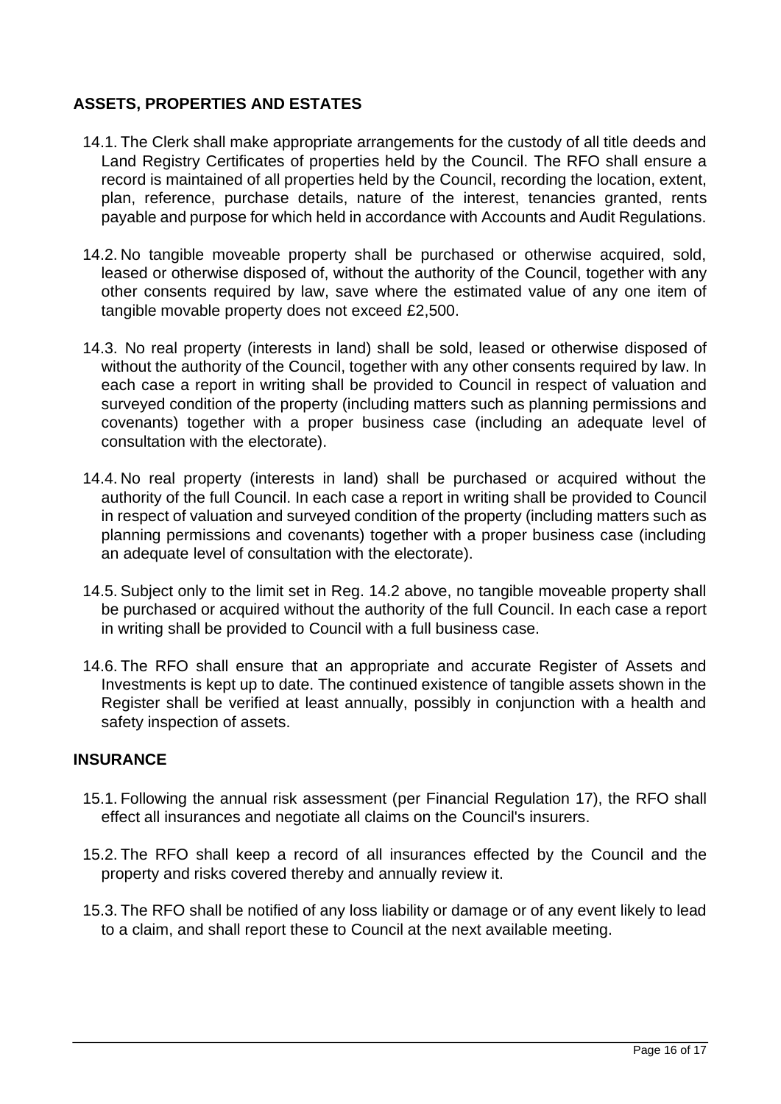# <span id="page-15-0"></span>**ASSETS, PROPERTIES AND ESTATES**

- 14.1. The Clerk shall make appropriate arrangements for the custody of all title deeds and Land Registry Certificates of properties held by the Council. The RFO shall ensure a record is maintained of all properties held by the Council, recording the location, extent, plan, reference, purchase details, nature of the interest, tenancies granted, rents payable and purpose for which held in accordance with Accounts and Audit Regulations.
- 14.2. No tangible moveable property shall be purchased or otherwise acquired, sold, leased or otherwise disposed of, without the authority of the Council, together with any other consents required by law, save where the estimated value of any one item of tangible movable property does not exceed £2,500.
- 14.3. No real property (interests in land) shall be sold, leased or otherwise disposed of without the authority of the Council, together with any other consents required by law. In each case a report in writing shall be provided to Council in respect of valuation and surveyed condition of the property (including matters such as planning permissions and covenants) together with a proper business case (including an adequate level of consultation with the electorate).
- 14.4. No real property (interests in land) shall be purchased or acquired without the authority of the full Council. In each case a report in writing shall be provided to Council in respect of valuation and surveyed condition of the property (including matters such as planning permissions and covenants) together with a proper business case (including an adequate level of consultation with the electorate).
- 14.5. Subject only to the limit set in Reg. 14.2 above, no tangible moveable property shall be purchased or acquired without the authority of the full Council. In each case a report in writing shall be provided to Council with a full business case.
- 14.6. The RFO shall ensure that an appropriate and accurate Register of Assets and Investments is kept up to date. The continued existence of tangible assets shown in the Register shall be verified at least annually, possibly in conjunction with a health and safety inspection of assets.

#### <span id="page-15-1"></span>**INSURANCE**

- 15.1. Following the annual risk assessment (per Financial Regulation 17), the RFO shall effect all insurances and negotiate all claims on the Council's insurers.
- 15.2. The RFO shall keep a record of all insurances effected by the Council and the property and risks covered thereby and annually review it.
- 15.3. The RFO shall be notified of any loss liability or damage or of any event likely to lead to a claim, and shall report these to Council at the next available meeting.